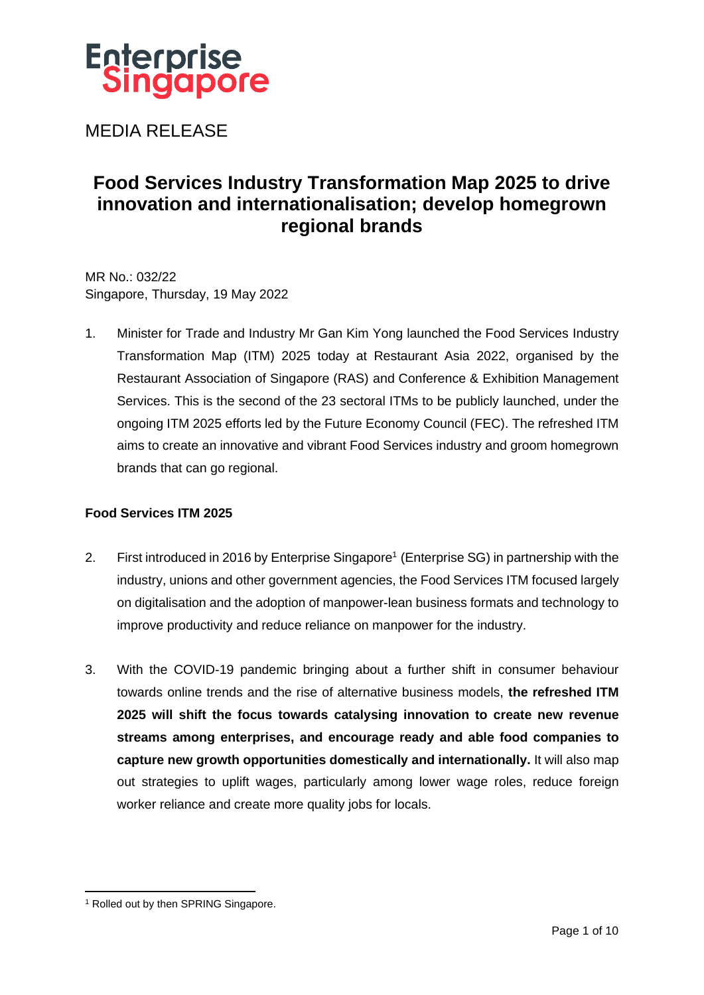

MEDIA RELEASE

# **Food Services Industry Transformation Map 2025 to drive innovation and internationalisation; develop homegrown regional brands**

MR No.: 032/22 Singapore, Thursday, 19 May 2022

1. Minister for Trade and Industry Mr Gan Kim Yong launched the Food Services Industry Transformation Map (ITM) 2025 today at Restaurant Asia 2022, organised by the Restaurant Association of Singapore (RAS) and Conference & Exhibition Management Services. This is the second of the 23 sectoral ITMs to be publicly launched, under the ongoing ITM 2025 efforts led by the Future Economy Council (FEC). The refreshed ITM aims to create an innovative and vibrant Food Services industry and groom homegrown brands that can go regional.

#### **Food Services ITM 2025**

- 2. First introduced in 2016 by Enterprise Singapore<sup>1</sup> (Enterprise SG) in partnership with the industry, unions and other government agencies, the Food Services ITM focused largely on digitalisation and the adoption of manpower-lean business formats and technology to improve productivity and reduce reliance on manpower for the industry.
- 3. With the COVID-19 pandemic bringing about a further shift in consumer behaviour towards online trends and the rise of alternative business models, **the refreshed ITM 2025 will shift the focus towards catalysing innovation to create new revenue streams among enterprises, and encourage ready and able food companies to capture new growth opportunities domestically and internationally.** It will also map out strategies to uplift wages, particularly among lower wage roles, reduce foreign worker reliance and create more quality jobs for locals.

<sup>&</sup>lt;sup>1</sup> Rolled out by then SPRING Singapore.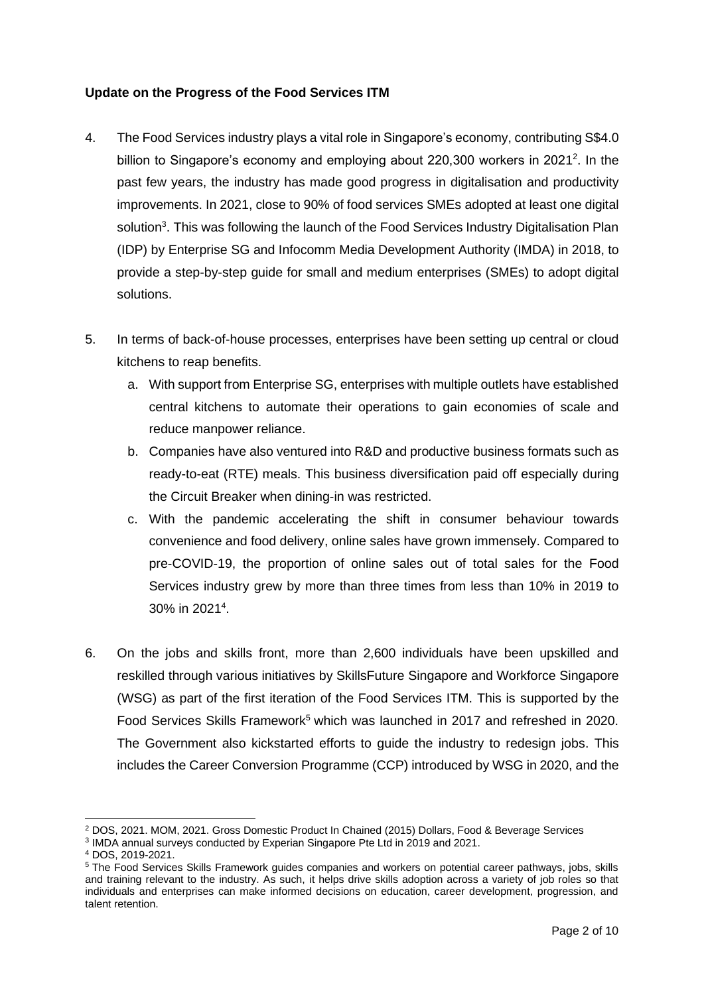#### **Update on the Progress of the Food Services ITM**

- 4. The Food Services industry plays a vital role in Singapore's economy, contributing S\$4.0 billion to Singapore's economy and employing about 220,300 workers in 2021<sup>2</sup>. In the past few years, the industry has made good progress in digitalisation and productivity improvements. In 2021, close to 90% of food services SMEs adopted at least one digital solution<sup>3</sup>. This was following the launch of the Food Services Industry Digitalisation Plan (IDP) by Enterprise SG and Infocomm Media Development Authority (IMDA) in 2018, to provide a step-by-step guide for small and medium enterprises (SMEs) to adopt digital solutions.
- 5. In terms of back-of-house processes, enterprises have been setting up central or cloud kitchens to reap benefits.
	- a. With support from Enterprise SG, enterprises with multiple outlets have established central kitchens to automate their operations to gain economies of scale and reduce manpower reliance.
	- b. Companies have also ventured into R&D and productive business formats such as ready-to-eat (RTE) meals. This business diversification paid off especially during the Circuit Breaker when dining-in was restricted.
	- c. With the pandemic accelerating the shift in consumer behaviour towards convenience and food delivery, online sales have grown immensely. Compared to pre-COVID-19, the proportion of online sales out of total sales for the Food Services industry grew by more than three times from less than 10% in 2019 to 30% in 2021<sup>4</sup> .
- 6. On the jobs and skills front, more than 2,600 individuals have been upskilled and reskilled through various initiatives by SkillsFuture Singapore and Workforce Singapore (WSG) as part of the first iteration of the Food Services ITM. This is supported by the Food Services Skills Framework<sup>5</sup> which was launched in 2017 and refreshed in 2020. The Government also kickstarted efforts to guide the industry to redesign jobs. This includes the Career Conversion Programme (CCP) introduced by WSG in 2020, and the

<sup>2</sup> DOS, 2021. MOM, 2021. Gross Domestic Product In Chained (2015) Dollars, Food & Beverage Services

<sup>&</sup>lt;sup>3</sup> IMDA annual surveys conducted by Experian Singapore Pte Ltd in 2019 and 2021.

<sup>4</sup> DOS, 2019-2021.

<sup>5</sup> The Food Services Skills Framework guides companies and workers on potential career pathways, jobs, skills and training relevant to the industry. As such, it helps drive skills adoption across a variety of job roles so that individuals and enterprises can make informed decisions on education, career development, progression, and talent retention.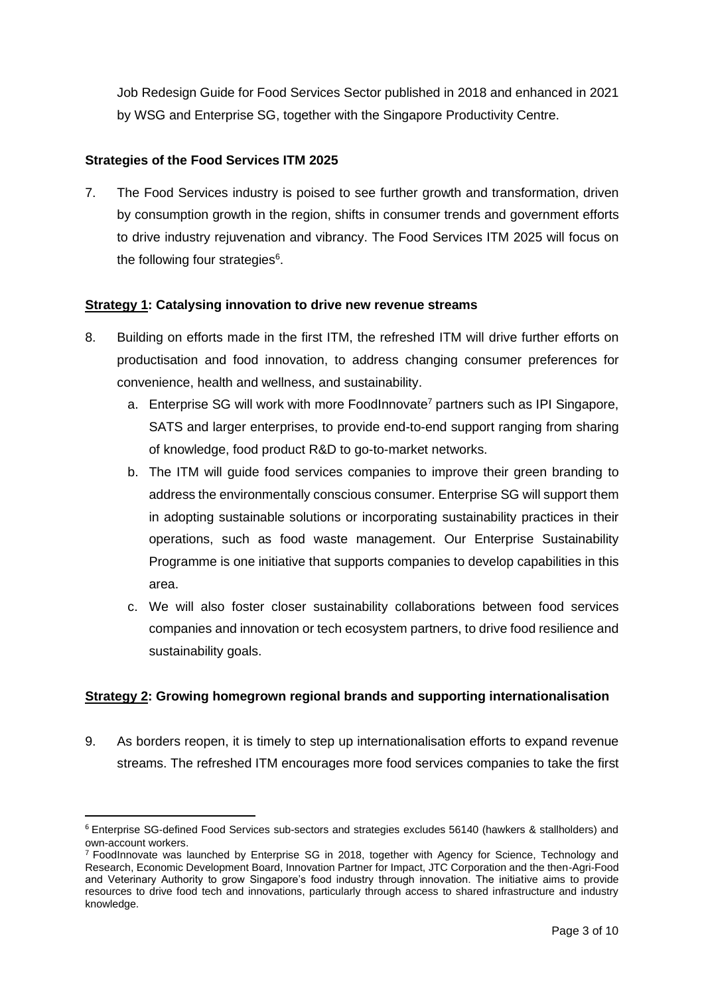Job Redesign Guide for Food Services Sector published in 2018 and enhanced in 2021 by WSG and Enterprise SG, together with the Singapore Productivity Centre.

## **Strategies of the Food Services ITM 2025**

7. The Food Services industry is poised to see further growth and transformation, driven by consumption growth in the region, shifts in consumer trends and government efforts to drive industry rejuvenation and vibrancy. The Food Services ITM 2025 will focus on the following four strategies<sup>6</sup>.

## **Strategy 1: Catalysing innovation to drive new revenue streams**

- 8. Building on efforts made in the first ITM, the refreshed ITM will drive further efforts on productisation and food innovation, to address changing consumer preferences for convenience, health and wellness, and sustainability.
	- a. Enterprise SG will work with more FoodInnovate<sup>7</sup> partners such as IPI Singapore, SATS and larger enterprises, to provide end-to-end support ranging from sharing of knowledge, food product R&D to go-to-market networks.
	- b. The ITM will guide food services companies to improve their green branding to address the environmentally conscious consumer. Enterprise SG will support them in adopting sustainable solutions or incorporating sustainability practices in their operations, such as food waste management. Our Enterprise Sustainability Programme is one initiative that supports companies to develop capabilities in this area.
	- c. We will also foster closer sustainability collaborations between food services companies and innovation or tech ecosystem partners, to drive food resilience and sustainability goals.

#### **Strategy 2: Growing homegrown regional brands and supporting internationalisation**

9. As borders reopen, it is timely to step up internationalisation efforts to expand revenue streams. The refreshed ITM encourages more food services companies to take the first

<sup>6</sup> Enterprise SG-defined Food Services sub-sectors and strategies excludes 56140 (hawkers & stallholders) and own-account workers.

<sup>&</sup>lt;sup>7</sup> FoodInnovate was launched by Enterprise SG in 2018, together with Agency for Science, Technology and Research, Economic Development Board, Innovation Partner for Impact, JTC Corporation and the then-Agri-Food and Veterinary Authority to grow Singapore's food industry through innovation. The initiative aims to provide resources to drive food tech and innovations, particularly through access to shared infrastructure and industry knowledge.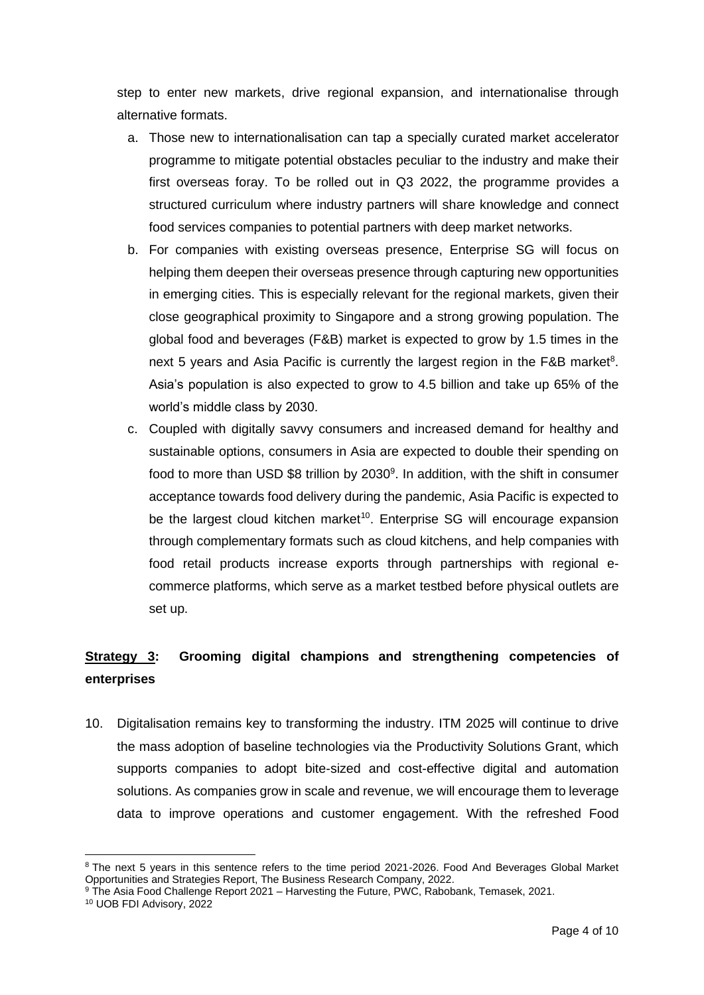step to enter new markets, drive regional expansion, and internationalise through alternative formats.

- a. Those new to internationalisation can tap a specially curated market accelerator programme to mitigate potential obstacles peculiar to the industry and make their first overseas foray. To be rolled out in Q3 2022, the programme provides a structured curriculum where industry partners will share knowledge and connect food services companies to potential partners with deep market networks.
- b. For companies with existing overseas presence, Enterprise SG will focus on helping them deepen their overseas presence through capturing new opportunities in emerging cities. This is especially relevant for the regional markets, given their close geographical proximity to Singapore and a strong growing population. The global food and beverages (F&B) market is expected to grow by 1.5 times in the next 5 years and Asia Pacific is currently the largest region in the  $F&B$  market<sup>8</sup>. Asia's population is also expected to grow to 4.5 billion and take up 65% of the world's middle class by 2030.
- c. Coupled with digitally savvy consumers and increased demand for healthy and sustainable options, consumers in Asia are expected to double their spending on food to more than USD \$8 trillion by 2030<sup>9</sup>. In addition, with the shift in consumer acceptance towards food delivery during the pandemic, Asia Pacific is expected to be the largest cloud kitchen market<sup>10</sup>. Enterprise SG will encourage expansion through complementary formats such as cloud kitchens, and help companies with food retail products increase exports through partnerships with regional ecommerce platforms, which serve as a market testbed before physical outlets are set up.

# **Strategy 3: Grooming digital champions and strengthening competencies of enterprises**

10. Digitalisation remains key to transforming the industry. ITM 2025 will continue to drive the mass adoption of baseline technologies via the Productivity Solutions Grant, which supports companies to adopt bite-sized and cost-effective digital and automation solutions. As companies grow in scale and revenue, we will encourage them to leverage data to improve operations and customer engagement. With the refreshed Food

<sup>&</sup>lt;sup>8</sup> The next 5 years in this sentence refers to the time period 2021-2026. Food And Beverages Global Market Opportunities and Strategies Report, The Business Research Company, 2022.

<sup>9</sup> The Asia Food Challenge Report 2021 – Harvesting the Future, PWC, Rabobank, Temasek, 2021.

<sup>10</sup> UOB FDI Advisory, 2022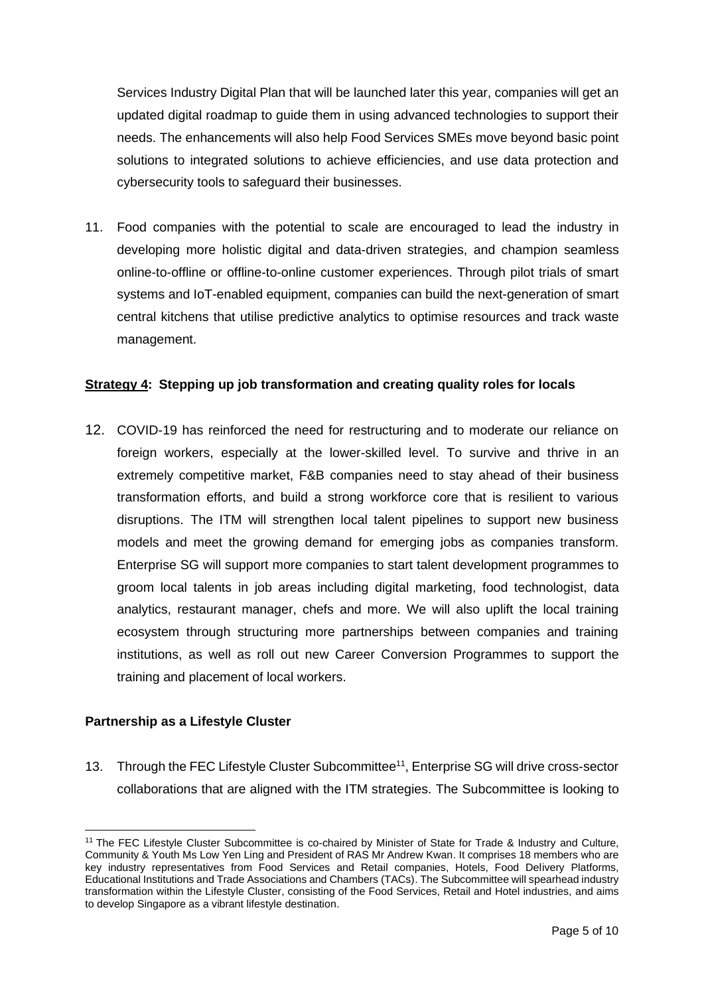Services Industry Digital Plan that will be launched later this year, companies will get an updated digital roadmap to guide them in using advanced technologies to support their needs. The enhancements will also help Food Services SMEs move beyond basic point solutions to integrated solutions to achieve efficiencies, and use data protection and cybersecurity tools to safeguard their businesses.

11. Food companies with the potential to scale are encouraged to lead the industry in developing more holistic digital and data-driven strategies, and champion seamless online-to-offline or offline-to-online customer experiences. Through pilot trials of smart systems and IoT-enabled equipment, companies can build the next-generation of smart central kitchens that utilise predictive analytics to optimise resources and track waste management.

#### **Strategy 4: Stepping up job transformation and creating quality roles for locals**

12. COVID-19 has reinforced the need for restructuring and to moderate our reliance on foreign workers, especially at the lower-skilled level. To survive and thrive in an extremely competitive market, F&B companies need to stay ahead of their business transformation efforts, and build a strong workforce core that is resilient to various disruptions. The ITM will strengthen local talent pipelines to support new business models and meet the growing demand for emerging jobs as companies transform. Enterprise SG will support more companies to start talent development programmes to groom local talents in job areas including digital marketing, food technologist, data analytics, restaurant manager, chefs and more. We will also uplift the local training ecosystem through structuring more partnerships between companies and training institutions, as well as roll out new Career Conversion Programmes to support the training and placement of local workers.

# **Partnership as a Lifestyle Cluster**

13. Through the FEC Lifestyle Cluster Subcommittee<sup>11</sup>, Enterprise SG will drive cross-sector collaborations that are aligned with the ITM strategies. The Subcommittee is looking to

<sup>&</sup>lt;sup>11</sup> The FEC Lifestyle Cluster Subcommittee is co-chaired by Minister of State for Trade & Industry and Culture, Community & Youth Ms Low Yen Ling and President of RAS Mr Andrew Kwan. It comprises 18 members who are key industry representatives from Food Services and Retail companies, Hotels, Food Delivery Platforms, Educational Institutions and Trade Associations and Chambers (TACs). The Subcommittee will spearhead industry transformation within the Lifestyle Cluster, consisting of the Food Services, Retail and Hotel industries, and aims to develop Singapore as a vibrant lifestyle destination.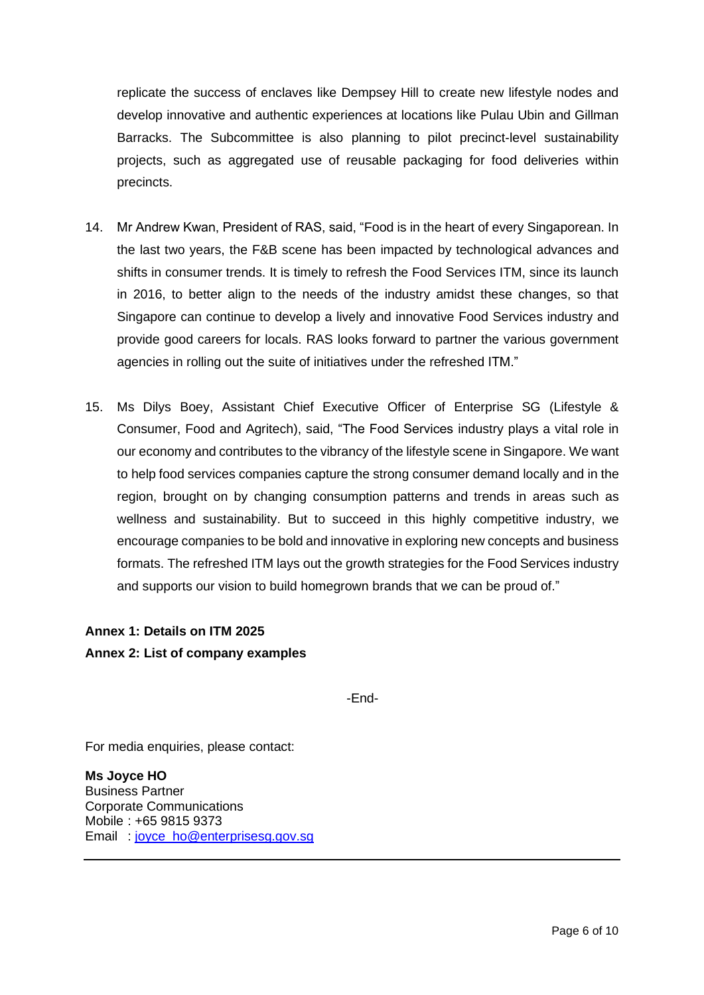replicate the success of enclaves like Dempsey Hill to create new lifestyle nodes and develop innovative and authentic experiences at locations like Pulau Ubin and Gillman Barracks. The Subcommittee is also planning to pilot precinct-level sustainability projects, such as aggregated use of reusable packaging for food deliveries within precincts.

- 14. Mr Andrew Kwan, President of RAS, said, "Food is in the heart of every Singaporean. In the last two years, the F&B scene has been impacted by technological advances and shifts in consumer trends. It is timely to refresh the Food Services ITM, since its launch in 2016, to better align to the needs of the industry amidst these changes, so that Singapore can continue to develop a lively and innovative Food Services industry and provide good careers for locals. RAS looks forward to partner the various government agencies in rolling out the suite of initiatives under the refreshed ITM."
- 15. Ms Dilys Boey, Assistant Chief Executive Officer of Enterprise SG (Lifestyle & Consumer, Food and Agritech), said, "The Food Services industry plays a vital role in our economy and contributes to the vibrancy of the lifestyle scene in Singapore. We want to help food services companies capture the strong consumer demand locally and in the region, brought on by changing consumption patterns and trends in areas such as wellness and sustainability. But to succeed in this highly competitive industry, we encourage companies to be bold and innovative in exploring new concepts and business formats. The refreshed ITM lays out the growth strategies for the Food Services industry and supports our vision to build homegrown brands that we can be proud of."

#### **Annex 1: Details on ITM 2025**

#### **Annex 2: List of company examples**

-End-

For media enquiries, please contact:

**Ms Joyce HO** Business Partner Corporate Communications Mobile : +65 9815 9373 Email : [joyce\\_ho@enterprisesg.gov.sg](mailto:joyce_ho@enterprisesg.gov.sg)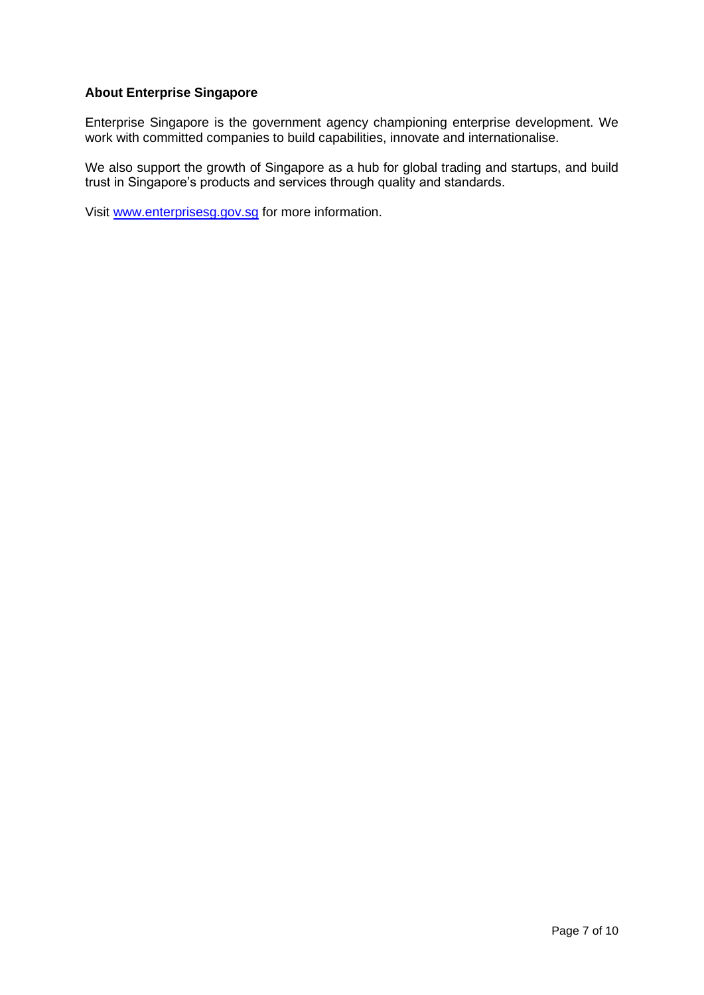#### **About Enterprise Singapore**

Enterprise Singapore is the government agency championing enterprise development. We work with committed companies to build capabilities, innovate and internationalise.

We also support the growth of Singapore as a hub for global trading and startups, and build trust in Singapore's products and services through quality and standards.

Visit [www.enterprisesg.gov.sg](http://www.enterprisesg.gov.sg/) for more information.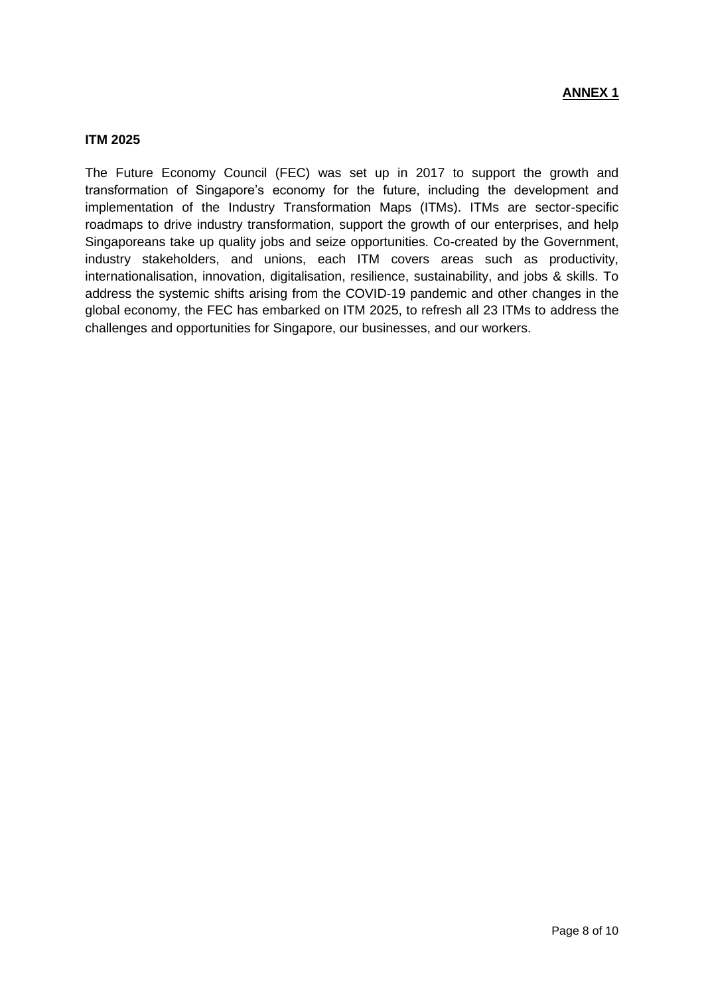#### **ITM 2025**

The Future Economy Council (FEC) was set up in 2017 to support the growth and transformation of Singapore's economy for the future, including the development and implementation of the Industry Transformation Maps (ITMs). ITMs are sector-specific roadmaps to drive industry transformation, support the growth of our enterprises, and help Singaporeans take up quality jobs and seize opportunities. Co-created by the Government, industry stakeholders, and unions, each ITM covers areas such as productivity, internationalisation, innovation, digitalisation, resilience, sustainability, and jobs & skills. To address the systemic shifts arising from the COVID-19 pandemic and other changes in the global economy, the FEC has embarked on ITM 2025, to refresh all 23 ITMs to address the challenges and opportunities for Singapore, our businesses, and our workers.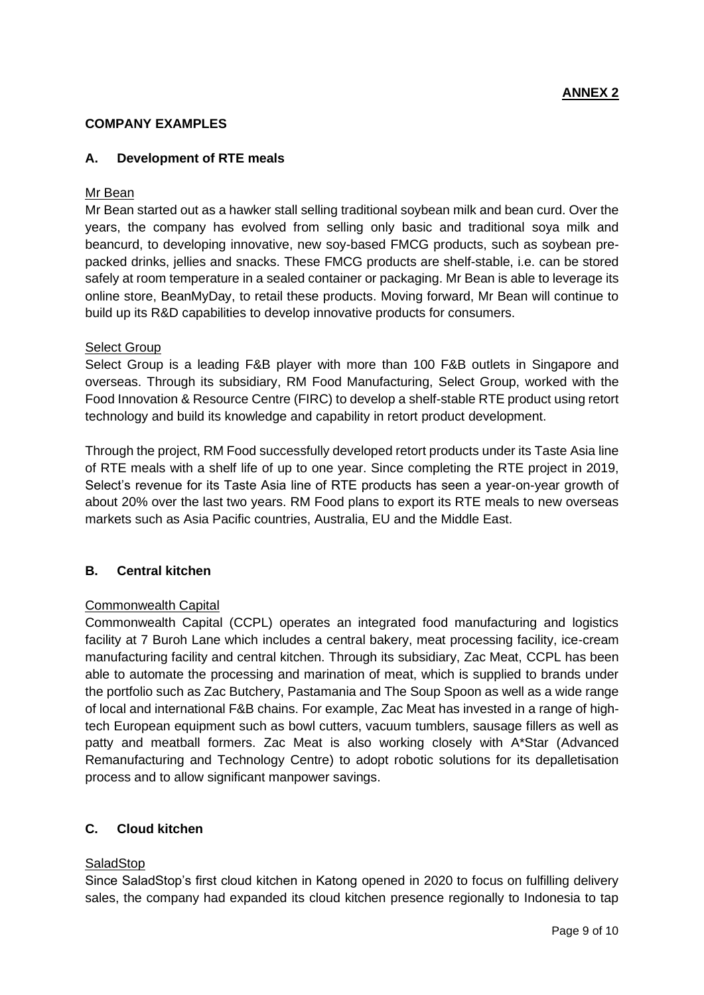#### **COMPANY EXAMPLES**

#### **A. Development of RTE meals**

#### Mr Bean

Mr Bean started out as a hawker stall selling traditional soybean milk and bean curd. Over the years, the company has evolved from selling only basic and traditional soya milk and beancurd, to developing innovative, new soy-based FMCG products, such as soybean prepacked drinks, jellies and snacks. These FMCG products are shelf-stable, i.e. can be stored safely at room temperature in a sealed container or packaging. Mr Bean is able to leverage its online store, BeanMyDay, to retail these products. Moving forward, Mr Bean will continue to build up its R&D capabilities to develop innovative products for consumers.

#### Select Group

Select Group is a leading F&B player with more than 100 F&B outlets in Singapore and overseas. Through its subsidiary, RM Food Manufacturing, Select Group, worked with the Food Innovation & Resource Centre (FIRC) to develop a shelf-stable RTE product using retort technology and build its knowledge and capability in retort product development.

Through the project, RM Food successfully developed retort products under its Taste Asia line of RTE meals with a shelf life of up to one year. Since completing the RTE project in 2019, Select's revenue for its Taste Asia line of RTE products has seen a year-on-year growth of about 20% over the last two years. RM Food plans to export its RTE meals to new overseas markets such as Asia Pacific countries, Australia, EU and the Middle East.

#### **B. Central kitchen**

#### Commonwealth Capital

Commonwealth Capital (CCPL) operates an integrated food manufacturing and logistics facility at 7 Buroh Lane which includes a central bakery, meat processing facility, ice-cream manufacturing facility and central kitchen. Through its subsidiary, Zac Meat, CCPL has been able to automate the processing and marination of meat, which is supplied to brands under the portfolio such as Zac Butchery, Pastamania and The Soup Spoon as well as a wide range of local and international F&B chains. For example, Zac Meat has invested in a range of hightech European equipment such as bowl cutters, vacuum tumblers, sausage fillers as well as patty and meatball formers. Zac Meat is also working closely with A\*Star (Advanced Remanufacturing and Technology Centre) to adopt robotic solutions for its depalletisation process and to allow significant manpower savings.

#### **C. Cloud kitchen**

#### SaladStop

Since SaladStop's first cloud kitchen in Katong opened in 2020 to focus on fulfilling delivery sales, the company had expanded its cloud kitchen presence regionally to Indonesia to tap